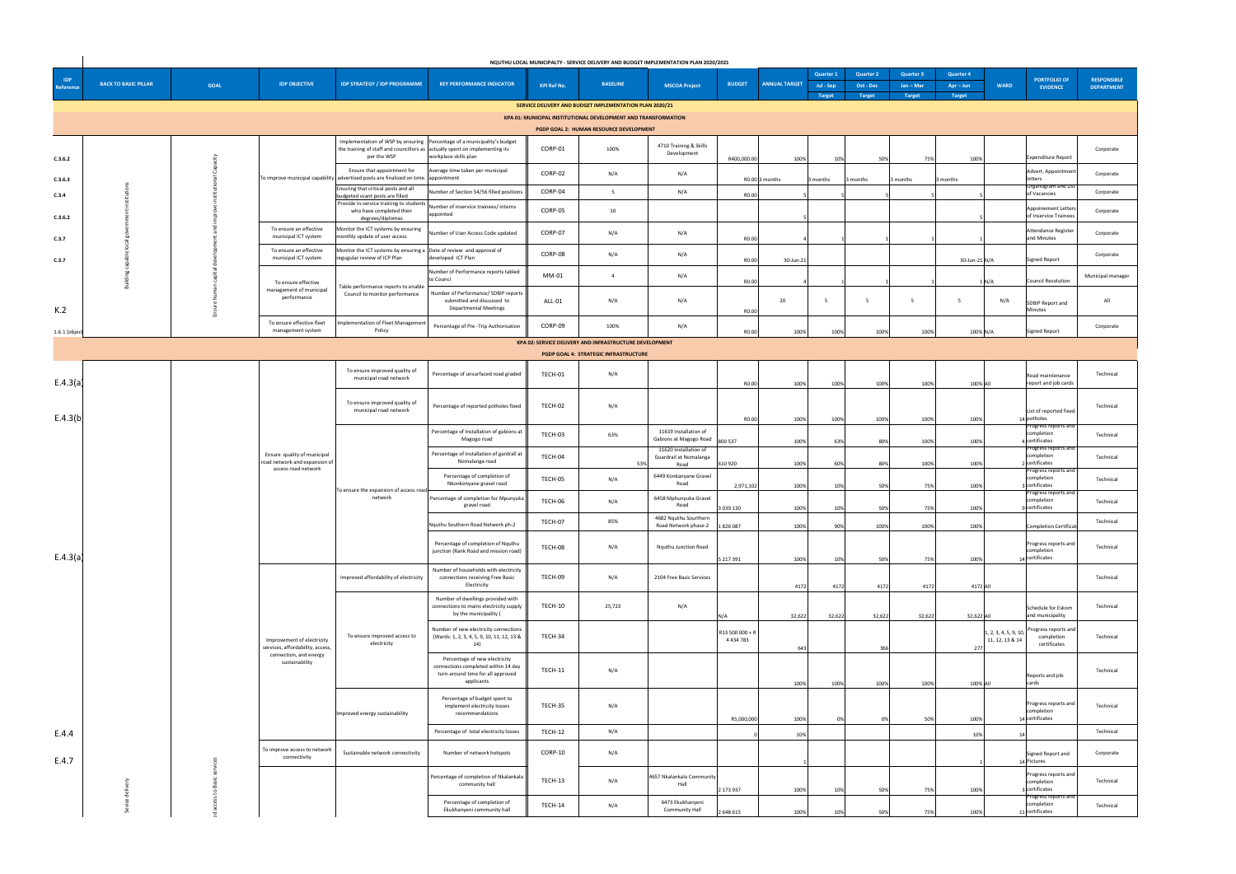|                         |                             |                                                    |                                                                |                                                                                                                    |                                                                                                                         |                    |                                                                       | NQUTHU LOCAL MUNICIPALTY - SERVICE DELIVERY AND BUDGET IMPLEMENTATION PLAN 2020/2021 |                                  |                              |                  |                  |                  |                                                             |                                                                                                |                    |
|-------------------------|-----------------------------|----------------------------------------------------|----------------------------------------------------------------|--------------------------------------------------------------------------------------------------------------------|-------------------------------------------------------------------------------------------------------------------------|--------------------|-----------------------------------------------------------------------|--------------------------------------------------------------------------------------|----------------------------------|------------------------------|------------------|------------------|------------------|-------------------------------------------------------------|------------------------------------------------------------------------------------------------|--------------------|
|                         |                             |                                                    |                                                                |                                                                                                                    |                                                                                                                         |                    |                                                                       |                                                                                      |                                  |                              | <b>Quarter 1</b> | <b>Quarter 2</b> | <b>Quarter 3</b> | <b>Quarter 4</b>                                            | <b>PORTFOLIO OF</b>                                                                            | <b>RESPONSIBLE</b> |
| <b>IDP</b><br>Reference | <b>BACK TO BASIC PILLAR</b> | <b>GOAL</b>                                        | <b>IDP OBJECTIVE</b>                                           | <b>IDP STRATEGY / IDP PROGRAMME</b>                                                                                | <b>KEY PERFORMANCE INDICATOR</b>                                                                                        | <b>KPI Ref No.</b> | <b>BASELINE</b>                                                       | <b>MSCOA Project</b>                                                                 | <b>BUDGET</b>                    | <b>ANNUAL TARGET</b>         | Jul - Sep        | <b>Oct - Dec</b> | $Jan - Mar$      | $Apr - Jun$                                                 | <b>WARD</b><br><b>EVIDENCE</b>                                                                 | <b>DEPARTMENT</b>  |
|                         |                             |                                                    |                                                                |                                                                                                                    |                                                                                                                         |                    | SERVICE DELIVERY AND BUDGET IMPLEMENTATION PLAN 2020/21               |                                                                                      |                                  |                              | <b>Target</b>    | <b>Target</b>    | <b>Target</b>    | <b>Target</b>                                               |                                                                                                |                    |
|                         |                             |                                                    |                                                                |                                                                                                                    |                                                                                                                         |                    | <b>KPA 01: MUNICIPAL INSTITUTIONAL DEVELOPMENT AND TRANSFORMATION</b> |                                                                                      |                                  |                              |                  |                  |                  |                                                             |                                                                                                |                    |
|                         |                             |                                                    |                                                                |                                                                                                                    |                                                                                                                         |                    | <b>PGDP GOAL 2: HUMAN RESOURCE DEVELOPMENT</b>                        |                                                                                      |                                  |                              |                  |                  |                  |                                                             |                                                                                                |                    |
| C.3.6.2                 |                             |                                                    |                                                                | the training of staff and councillors as actually spent on implementing its<br>per the WSP                         | Implementation of WSP by ensuring   Percentage of a municipality's budget<br>workplace skills plan                      | CORP-01            | 100%                                                                  | 4710 Training & Skills<br>Development                                                | R400,000.00                      | 100%                         | 10%              | 50%              | 75%              | 100%                                                        | <b>Expenditure Report</b>                                                                      | Corporate          |
| C.3.6.3                 |                             |                                                    |                                                                | Ensure that appointment for<br>To improve municipal capability advertised posts are finalized on time. appointment | Average time taken per municipal                                                                                        | CORP-02            | N/A                                                                   | N/A                                                                                  |                                  | $R0.00$ 3 months<br>3 months |                  | 3 months         | 3 months         | 3 months                                                    | Advert, Appointment<br><b>Hetters</b>                                                          | Corporate          |
| C.3.4                   |                             |                                                    |                                                                | Ensuring that critical posts and all<br>budgeted vcant posts are filled                                            | Number of Section 54/56 filled positions                                                                                | CORP-04            |                                                                       | N/A                                                                                  | R0.00                            |                              |                  |                  |                  |                                                             | <b>Organogram and List</b><br>of Vacancies                                                     | Corporate          |
| C.3.6.2                 |                             |                                                    |                                                                | Provide in-service training to students<br>who have completed their<br>degrees/diplomas                            | Number of inservice trainees/interns<br>appointed                                                                       | CORP-05            | 10                                                                    |                                                                                      |                                  |                              |                  |                  |                  |                                                             | Appoinement Letters<br>of Inservice Trainees                                                   | Corporate          |
| C.3.7                   |                             |                                                    | To ensure an effective<br>municipal ICT system                 | Monitor the ICT systems by ensuring<br>monthly update of user access                                               | Number of User Access Code updated                                                                                      | CORP-07            | N/A                                                                   | N/A                                                                                  | R0.00                            |                              |                  |                  |                  |                                                             | Attendance Register<br>and Minutes                                                             | Corporate          |
| C.3.7                   |                             |                                                    | To ensure an effective<br>municipal ICT system                 | Monitor the ICT systems by ensuring a Date of review and approval of<br>regugular review of ICP Plan               | developed ICT Plan                                                                                                      | CORP-08            | N/A                                                                   | N/A                                                                                  | R0.00                            | 30-Jun-2                     |                  |                  |                  | 30-Jun-21 N/A                                               | Signed Report                                                                                  | Corporate          |
|                         |                             |                                                    | To ensure effective<br>management of municipal                 | Table performance reports to enable                                                                                | Number of Performance reports tabled<br>to Counci                                                                       | MM-01              |                                                                       | N/A                                                                                  | R0.00                            |                              |                  |                  |                  | 1 N/A                                                       | Council Resolution                                                                             | Municipal manager  |
| K.2                     |                             |                                                    | performance                                                    | Council to monitor performance                                                                                     | Number of Performance/ SDBIP reports<br>submitted and discussed to<br><b>Departmental Meetings</b>                      | <b>ALL-01</b>      | N/A                                                                   | N/A                                                                                  | R0.00                            | 20                           |                  |                  |                  |                                                             | N/A<br>SDBIP Report and<br>Minutes                                                             | All                |
| 1.6.1 [object           |                             |                                                    | To ensure effective fleet<br>management system                 | Implementation of Fleet Management<br>Policy                                                                       | Percentage of Pre-Trip Authorisation                                                                                    | CORP-09            | 100%                                                                  | N/A                                                                                  | R0.00                            | 100%                         | 100%             | 100%             | 100%             | 100% N/A                                                    | <b>Signed Report</b>                                                                           | Corporate          |
|                         |                             |                                                    |                                                                |                                                                                                                    |                                                                                                                         |                    | KPA 02: SERVICE DELIVERY AND INFRASTRUCTURE DEVELOPMENT               |                                                                                      |                                  |                              |                  |                  |                  |                                                             |                                                                                                |                    |
|                         |                             |                                                    |                                                                |                                                                                                                    |                                                                                                                         |                    | PGDP GOAL 4: STRATEGIC INFRASTRUCTURE                                 |                                                                                      |                                  |                              |                  |                  |                  |                                                             |                                                                                                |                    |
| E.4.3(a)                |                             |                                                    |                                                                | To ensure improved quality of<br>municipal road network                                                            | Percentage of unsurfaced road graded                                                                                    | TECH-01            | N/A                                                                   |                                                                                      | R0.00                            | 100%                         | 100%             | 100%             | 100%             | 100% All                                                    | Road maintenance<br>report and job cards                                                       | Technical          |
| E.4.3(b)                |                             | Ensure quality of municipal<br>access road network |                                                                | To ensure improved quality of<br>municipal road network                                                            | Percentage of reported potholes fixed                                                                                   | TECH-02            | N/A                                                                   |                                                                                      | R0.00                            | 100%                         | 100%             | 100%             | 100%             | 100%                                                        | List of reported fixed<br>$14$ potholes                                                        | Technical          |
|                         |                             |                                                    |                                                                | Percentage of Installation of gabions at<br>Magogo road                                                            | TECH-03                                                                                                                 | 63%                | 11619 Installation of<br>Gabions at Magogo Road $ $ 800 537           |                                                                                      | 100%                             | 63%                          | 80%              | 100%             | 100%             | <b>Progress reports and</b><br>completion<br>4 certificates | Technical                                                                                      |                    |
|                         |                             |                                                    | road network and expansion of                                  |                                                                                                                    | Percentage of Installation of gardrall at<br>Nomalanga road                                                             | TECH-04            |                                                                       | 11620 Installation of<br>Guardrail at Nomalanga<br>53%<br>Road                       | 610 920                          | 100%                         | 60%              | 80%              | 100%             | 100%                                                        | <b>Progress reports and</b><br>completion<br>certificates<br><b>Progress reports and</b>       | Technical          |
|                         |                             |                                                    |                                                                | To ensure the expansion of access road                                                                             | Percentage of completion of<br>Nkonkonyane gravel road                                                                  | TECH-05            | N/A                                                                   | 6449 Konkanyane Gravel<br>Road                                                       | 2,971,102                        | 100%                         | 10%              | 50%              | 75%              | 100%                                                        | completion<br>3 certificates<br><b>Progress reports and</b>                                    | Technical          |
|                         |                             |                                                    |                                                                | network                                                                                                            | Percentage of completion for Mpunyuka<br>gravel road                                                                    | TECH-06            | N/A                                                                   | 6458 Mphunyuka Gravel<br>Road                                                        | 3 039 130                        | 100%                         | 10%              | 50%              | 75%              | 100%                                                        | completion<br>g certificates                                                                   | Technical          |
|                         |                             |                                                    |                                                                |                                                                                                                    | Nquthu Southern Road Network ph-2                                                                                       | TECH-07            | 85%                                                                   | 4682 Nquthu Sourthern<br>Road Network phase-2                                        | 1826087                          | 100%                         | 90%              | 100%             | 100%             | 100%                                                        | Completion Certificat                                                                          | Technical          |
| E.4.3(a)                |                             |                                                    |                                                                |                                                                                                                    | Percentage of completion of Nquthu<br>junction (Rank Road and mission road)                                             | TECH-08            | N/A                                                                   | <b>Nguthu Junction Road</b>                                                          | 5 217 391                        | 100%                         | 10%              | 50%              | 75%              | 100%                                                        | Progress reports and<br>completion<br>14 certificates                                          | Technical          |
|                         |                             |                                                    |                                                                | Improved affordability of electricity                                                                              | Number of households with electricity<br>connections receiving Free Basic<br>Electricity                                | TECH-09            | N/A                                                                   | 2104 Free Basic Services                                                             |                                  | 4172                         | 4172             | 4172             | 4172             | 4172 All                                                    |                                                                                                | Technical          |
|                         |                             |                                                    |                                                                |                                                                                                                    | Number of dwellings provided with<br>connections to mains electricity supply<br>by the municipality (                   | TECH-10            | 25,723                                                                | N/A                                                                                  | N/A                              | 32,622                       | 32,622           | 32,622           | 32,622           | 32,622 All                                                  | Schedule for Eskom<br>and municipality                                                         | Technical          |
|                         |                             |                                                    | Improvement of electricity<br>services, affordability, access, | To ensure improved access to<br>electricity                                                                        | Number of new electricity connections<br>(Wards: 1, 2, 3, 4, 5, 9, 10, 11, 12, 13 &<br>14)                              | TECH-34            |                                                                       |                                                                                      | R13 500 000 + R<br>4 4 3 4 7 8 3 | 643                          |                  | 366              |                  |                                                             | Progress reports and<br>1, 2, 3, 4, 5, 9, 10,<br>completion<br>11, 12, 13 & 14<br>certificates | Technical          |
|                         |                             |                                                    | connection, and energy<br>sustainability                       |                                                                                                                    | Percentage of new electricity<br>connections completed within 14 day<br>turn-around time for all approved<br>applicants | <b>TECH-11</b>     | N/A                                                                   |                                                                                      |                                  | 100%                         | 100%             | 100%             | 100%             | 100% All                                                    | Reports and job<br>cards                                                                       | Technical          |
|                         |                             |                                                    |                                                                | Improved energy sustainability                                                                                     | Percentage of budget spent to<br>implement electricity losses<br>recommendations                                        | TECH-35            | N/A                                                                   |                                                                                      | R5,000,000                       | 100%                         |                  |                  | 50%              | 100%                                                        | Progress reports and<br>completion<br>14 certificates                                          | Technical          |
| E.4.4                   |                             |                                                    |                                                                |                                                                                                                    | Percentage of total electricity losses                                                                                  | TECH-12            | N/A                                                                   |                                                                                      |                                  | 10%                          |                  |                  |                  | 10%                                                         |                                                                                                | Technical          |
| E.4.7                   |                             |                                                    | To improve access to network<br>connectivity                   | Sustainable network connectivity                                                                                   | Number of network hotspots                                                                                              | CORP-10            | N/A                                                                   |                                                                                      |                                  |                              |                  |                  |                  |                                                             | Signed Report and<br>4 Pictures                                                                | Corporate          |
|                         |                             |                                                    |                                                                |                                                                                                                    | Percentage of completion of Nkalankala<br>community hall                                                                | TECH-13            | N/A                                                                   | 4657 Nkalankala Community<br>Hall                                                    | 2 173 937                        | 100%                         | 10%              | 50%              | 75%              | 100%                                                        | <b>Progress reports and</b><br>completion<br>certificates                                      | Technical          |
|                         |                             |                                                    |                                                                |                                                                                                                    | Percentage of completion of<br>Ekukhanyeni community hall                                                               | TECH-14            | N/A                                                                   | 6473 Ekukhanyeni<br><b>Community Hall</b>                                            | 2 648 615                        | 100%                         | 10%              | 50%              | 75%              | 100%                                                        | <b>Progress reports and</b><br>completion<br>11 certificates                                   | Technical          |
|                         |                             |                                                    |                                                                |                                                                                                                    |                                                                                                                         |                    |                                                                       |                                                                                      |                                  |                              |                  |                  |                  |                                                             |                                                                                                |                    |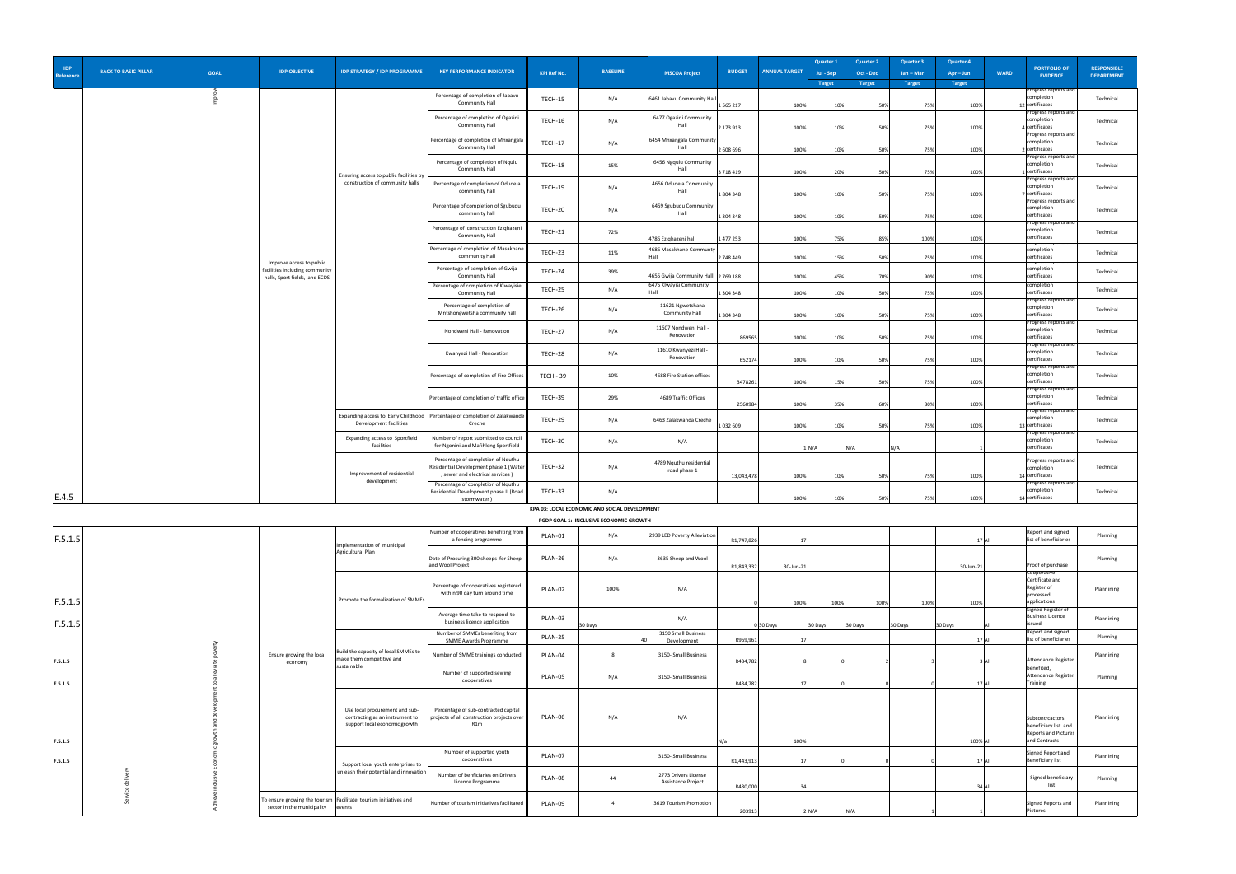| <b>IDP</b><br>Reference | <b>BACK TO BASIC PILLAR</b> | <b>GOAL</b> | <b>IDP OBJECTIVE</b>                                       | <b>IDP STRATEGY / IDP PROGRAMME</b>                                                                | <b>KEY PERFORMANCE INDICATOR</b>                                                            | <b>KPI Ref No.</b> | <b>BASELINE</b>                               | <b>MSCOA Project</b>                                                                   | <b>BUDGET</b> | <b>ANNUAL TARGET</b> | <b>Quarter 1</b><br>Jul - Sep<br><b>Target</b> | <b>Quarter 2</b><br><b>Oct - Dec</b><br><b>Target</b> | <b>Quarter 3</b><br>$Jan - Mar$<br><b>Target</b> | <b>Quarter 4</b><br>$Apr - Jun$<br><b>Target</b> | <b>WARD</b> | <b>PORTFOLIO OF</b><br><b>EVIDENCE</b>                                           | <b>RESPONSIBLE</b><br><b>DEPARTMENT</b> |
|-------------------------|-----------------------------|-------------|------------------------------------------------------------|----------------------------------------------------------------------------------------------------|---------------------------------------------------------------------------------------------|--------------------|-----------------------------------------------|----------------------------------------------------------------------------------------|---------------|----------------------|------------------------------------------------|-------------------------------------------------------|--------------------------------------------------|--------------------------------------------------|-------------|----------------------------------------------------------------------------------|-----------------------------------------|
|                         |                             |             |                                                            |                                                                                                    | Percentage of completion of Jabavu<br><b>Community Hall</b>                                 | TECH-15            | N/A                                           | 6461 Jabavu Community Hall                                                             | 1 5 6 5 2 1 7 | 100%                 | 10%                                            | 50%                                                   | 75%                                              | 100%                                             |             | <b>Progress reports and</b><br>completion<br>12 certificates                     | Technical                               |
|                         |                             |             |                                                            |                                                                                                    | Percentage of completion of Ogazini<br><b>Community Hall</b>                                | TECH-16            | N/A                                           | 6477 Ogazini Community<br>Hall                                                         | 2 173 913     | 100%                 | 10%                                            | 50%                                                   | 75%                                              | 100%                                             |             | <b>Progress reports and</b><br>completion<br> certificates                       | Technical                               |
|                         |                             |             |                                                            |                                                                                                    | Percentage of completion of Mnxangala<br><b>Community Hall</b>                              | TECH-17            | N/A                                           | 6454 Mnxangala Community<br>Hall                                                       |               |                      |                                                |                                                       |                                                  |                                                  |             | Progress reports and<br>completion<br>certificates                               | Technical                               |
|                         |                             |             |                                                            |                                                                                                    | Percentage of completion of Nqulu<br><b>Community Hall</b>                                  | TECH-18            | 15%                                           | 6456 Ngqulu Community<br>Hall                                                          | 2 608 696     | 100%                 | 10%                                            | 50%                                                   | 75%                                              | 100%                                             |             | Progress reports and<br>completion                                               | Technical                               |
|                         |                             |             |                                                            | Ensuring access to public facilities by<br>construction of community halls                         | Percentage of completion of Odudela                                                         | TECH-19            | N/A                                           | 4656 Odudela Community                                                                 | 3 718 419     | 100%                 | 20%                                            | 50%                                                   | 75%                                              | 100%                                             |             | certificates<br>Progress reports and<br>completion                               | Technical                               |
|                         |                             |             |                                                            |                                                                                                    | community hall<br>Percentage of completion of Sgubudu                                       | TECH-20            | N/A                                           | Hall<br>6459 Sgubudu Community                                                         | 1804348       | 100%                 | 10%                                            | 50%                                                   | 75%                                              | 100%                                             |             | certificates<br><b>Progress reports and</b><br>completion                        | Technical                               |
|                         |                             |             |                                                            |                                                                                                    | community hall<br>Percentage of construction Eziqhazeni                                     | TECH-21            | 72%                                           | Hall                                                                                   | 1 304 348     | 100%                 | 10%                                            | 50%                                                   | 75%                                              | 100%                                             |             | certificates<br><b>Progress reports and</b><br>completion                        | Technical                               |
|                         |                             |             |                                                            |                                                                                                    | Community Hall<br>Percentage of completion of Masakhane                                     | TECH-23            | 11%                                           | 4786 Eziqhazeni hall<br>4686 Masakhane Communty                                        | 1477253       | 100%                 | 75%                                            | 85%                                                   | 100%                                             | 100%                                             |             | certificates<br><u>1981 000 1 0 pm to anna</u><br>completion                     | Technical                               |
|                         |                             |             | Improve access to public<br>facilities including community |                                                                                                    | community Hall<br>Percentage of completion of Gwija                                         | TECH-24            | 39%                                           |                                                                                        | 2 748 449     | 100%                 | 15%                                            | 50%                                                   | 75%                                              | 100%                                             |             | certificates<br><del>,,,,,,,,,,,</del><br>completion                             | Technical                               |
|                         |                             |             | halls, Sport fields, and ECDS                              |                                                                                                    | Community Hall<br>Percentage of completion of Klwayisie<br><b>Community Hall</b>            | TECH-25            | N/A                                           | 4655 Gwija Community Hall $\left  \frac{2769}{188} \right $<br>6475 Klwayisi Community | 1 304 348     | 100%<br>100%         | 45%<br>10%                                     | 70%<br>50%                                            | 90%<br>75%                                       | 100%<br>100%                                     |             | certificates<br>completion<br>certificates                                       | Technical                               |
|                         |                             |             |                                                            |                                                                                                    | Percentage of completion of<br>Mntshongwetsha community hall                                | TECH-26            | N/A                                           | 11621 Ngwetshana<br><b>Community Hall</b>                                              | 1 304 348     | 100%                 | 10%                                            | 50%                                                   | 75%                                              | 100%                                             |             | Progress reports and<br>completion<br>certificates                               | Technical                               |
|                         |                             |             |                                                            |                                                                                                    | Nondweni Hall - Renovation                                                                  | TECH-27            | N/A                                           | 11607 Nondweni Hall<br>Renovation                                                      |               |                      |                                                |                                                       |                                                  |                                                  |             | Progress reports and<br>completion                                               | Technical                               |
|                         |                             |             |                                                            |                                                                                                    | Kwanyezi Hall - Renovation                                                                  | TECH-28            | N/A                                           | 11610 Kwanyezi Hall -<br>Renovation                                                    | 869565        | 100%                 | 10%                                            | 50%                                                   | 75%                                              | 100%                                             |             | certificates<br><b>Progress reports and</b><br>completion                        | Technical                               |
|                         |                             |             |                                                            |                                                                                                    | Percentage of completion of Fire Offices                                                    | <b>TECH - 39</b>   | 10%                                           | 4688 Fire Station offices                                                              | 652174        | 100%                 | 10%                                            | 50%                                                   | 75%                                              | 100%                                             |             | certificates<br>Progress reports and<br>completion                               | Technical                               |
|                         |                             |             |                                                            |                                                                                                    | Percentage of completion of traffic office                                                  | TECH-39            | 29%                                           | 4689 Traffic Offices                                                                   | 3478261       | 100%                 | 15%                                            | 50%                                                   | 75%                                              | 100%                                             |             | certificates<br><b>Progress reports and</b><br>completion                        | Technical                               |
|                         |                             |             |                                                            |                                                                                                    | Expanding access to Early Childhood   Percentage of completion of Zalakwande                | TECH-29            | N/A                                           | 6463 Zalakwanda Creche                                                                 | 2560984       | 100%                 | 35%                                            | 60%                                                   | 80%                                              | 100%                                             |             | certificates<br><b>Progress reports and</b><br>completion                        | Technical                               |
|                         |                             |             |                                                            | Development facilities<br>Expanding access to Sportfield                                           | Creche<br>Number of report submitted to council                                             |                    |                                               |                                                                                        | 1032609       | 100%                 | 10%                                            | 50%                                                   | 75%                                              | 100%                                             |             | 3 certificates<br><b>Progress reports and</b><br>completion                      |                                         |
|                         |                             |             |                                                            | facilities                                                                                         | for Ngonini and Mafihleng Sportfield<br>Percentage of completion of Nquthu                  | TECH-30            | N/A                                           | N/A                                                                                    |               | 1 N/A                |                                                | IN/A                                                  | N/A                                              |                                                  |             | certificates<br>Progress reports and                                             | Technical                               |
|                         |                             |             |                                                            | Improvement of residential<br>development                                                          | Residential Development phase 1 (Water)<br>, sewer and electrical services)                 | TECH-32            | N/A                                           | 4789 Nquthu residential<br>road phase 1                                                | 13,043,478    | 100%                 | 10%                                            | 50%                                                   | 75%                                              | 100%                                             |             | completion<br>14 certificates                                                    | Technical                               |
| E.4.5                   |                             |             |                                                            |                                                                                                    | Percentage of completion of Nquthu<br>Residential Development phase II (Road<br>stormwater) | TECH-33            | N/A                                           |                                                                                        |               | 100%                 | 109                                            | 50%                                                   | 75%                                              | 100%                                             |             | Progress reports and<br>completion<br>14 certificates                            | Technical                               |
|                         |                             |             |                                                            |                                                                                                    |                                                                                             |                    | KPA 03: LOCAL ECONOMIC AND SOCIAL DEVELOPMENT |                                                                                        |               |                      |                                                |                                                       |                                                  |                                                  |             |                                                                                  |                                         |
|                         |                             |             |                                                            |                                                                                                    | Number of cooperatives benefiting from                                                      |                    | PGDP GOAL 1: INCLUSIVE ECONOMIC GROWTH        |                                                                                        |               |                      |                                                |                                                       |                                                  |                                                  |             | Report and signed                                                                |                                         |
| F.5.1.5                 |                             |             |                                                            | Implementation of municipal<br>Agricultural Plan                                                   | a fencing programme                                                                         | PLAN-01            | N/A                                           | 2939 LED Poverty Alleviation                                                           | R1,747,826    |                      |                                                |                                                       |                                                  |                                                  | 17 AII      | list of beneficiaries                                                            | Planning                                |
|                         |                             |             |                                                            |                                                                                                    | Date of Procuring 300 sheeps for Sheep<br>and Wool Project                                  | PLAN-26            | N/A                                           | 3635 Sheep and Wool                                                                    | R1,843,332    | $30$ -Jun-21         |                                                |                                                       |                                                  | $30$ -Jun-21                                     |             | Proof of purchase<br>Cooperative                                                 | Planning                                |
|                         |                             |             |                                                            |                                                                                                    | Percentage of cooperatives registered<br>within 90 day turn around time                     | PLAN-02            | 100%                                          | N/A                                                                                    |               |                      |                                                |                                                       |                                                  |                                                  |             | Certificate and<br>Register of<br>processed                                      | Plannining                              |
| F.5.1.5                 |                             |             |                                                            | Promote the formalization of SMMEs                                                                 | Average time take to respond to                                                             |                    |                                               |                                                                                        |               | 100%                 | 100%                                           | 100%                                                  | 100%                                             | 100%                                             |             | applications<br>Signed Register of                                               |                                         |
| F.5.1.5                 |                             |             |                                                            |                                                                                                    | business licence application<br>Number of SMMEs benefiting from                             | PLAN-03            | 30 Days                                       | N/A<br>3150 Small Business                                                             |               | $0 30$ Days          | 30 Days                                        | 30 Days                                               | 30 Days                                          | 30 Days                                          |             | <b>Business Licence</b><br>issued<br>Report and signed                           | Plannining                              |
|                         |                             |             |                                                            | Build the capacity of local SMMEs to                                                               | <b>SMME Awards Programme</b>                                                                | PLAN-25            |                                               | Development                                                                            | R969,961      |                      |                                                |                                                       |                                                  |                                                  | 17 AII      | list of beneficiaries                                                            | Planning                                |
| F.5.1.5                 |                             |             | Ensure growing the local<br>economy                        | make them competitive and<br>sustainable                                                           | Number of SMME trainings conducted                                                          | PLAN-04            |                                               | 3150- Small Business                                                                   | R434,782      |                      |                                                |                                                       |                                                  |                                                  | 3 AII       | Attendance Register<br>benefited,                                                | Plannining                              |
| F.5.1.5                 |                             |             |                                                            |                                                                                                    | Number of supported sewing<br>cooperatives                                                  | PLAN-05            | N/A                                           | 3150- Small Business                                                                   | R434,782      |                      |                                                |                                                       |                                                  |                                                  | $17$ All    | Attendance Register<br>Training                                                  | Planning                                |
| F.5.1.5                 |                             |             |                                                            | Use local procurement and sub-<br>contracting as an instrument to<br>support local economic growth | Percentage of sub-contracted capital<br>projects of all construction projects over<br>R1m   | PLAN-06            | N/A                                           | N/A                                                                                    |               | 100%                 |                                                |                                                       |                                                  |                                                  |             | Subcontrcactors<br>beneficiary list and<br>Reports and Pictures<br>and Contracts | Plannining                              |
|                         |                             |             |                                                            |                                                                                                    | Number of supported youth<br>cooperatives                                                   | PLAN-07            |                                               | 3150- Small Business                                                                   | N/a           |                      |                                                |                                                       |                                                  | 100% All                                         |             | Signed Report and<br>Beneficiary list                                            | Plannining                              |
| F.5.1.5                 |                             |             |                                                            | Support local youth enterprises to<br>unleash their potential and innovation                       | Number of benficiaries on Drivers                                                           | PLAN-08            | 44                                            | 2773 Drivers License                                                                   | R1,443,913    |                      |                                                |                                                       |                                                  |                                                  | $17$ All    | Signed beneficiary                                                               | Planning                                |
|                         |                             |             |                                                            | To ensure growing the tourism   Facilitate tourism initiatives and                                 | Licence Programme<br>Number of tourism initiatives facilitated                              | PLAN-09            | $\overline{4}$                                | Assistance Project<br>3619 Tourism Promotion                                           | R430,000      |                      |                                                |                                                       |                                                  |                                                  | 34 All      | list<br>Signed Reports and                                                       | Plannining                              |
|                         |                             |             | sector in the municipality                                 | events                                                                                             |                                                                                             |                    |                                               |                                                                                        | 203913        | 2 N/A                |                                                |                                                       |                                                  |                                                  |             | Pictures                                                                         |                                         |

|                         |                             |             |                                                            |                                                                              |                                                                                                                  |                    |                                               |                                                 |                         |                      | <b>Quarter 1</b>     | <b>Quarter 2</b>     | <b>Quarter 3</b>     | <b>Quarter 4</b>      |             |                                                                           |                                         |
|-------------------------|-----------------------------|-------------|------------------------------------------------------------|------------------------------------------------------------------------------|------------------------------------------------------------------------------------------------------------------|--------------------|-----------------------------------------------|-------------------------------------------------|-------------------------|----------------------|----------------------|----------------------|----------------------|-----------------------|-------------|---------------------------------------------------------------------------|-----------------------------------------|
| <b>IDP</b><br>Reference | <b>BACK TO BASIC PILLAR</b> | <b>GOAL</b> | <b>IDP OBJECTIVE</b>                                       | <b>IDP STRATEGY / IDP PROGRAMME</b>                                          | <b>KEY PERFORMANCE INDICATOR</b>                                                                                 | <b>KPI Ref No.</b> | <b>BASELINE</b>                               | <b>MSCOA Project</b>                            | <b>BUDGET</b>           | <b>ANNUAL TARGET</b> | Jul - Sep            | <b>Oct - Dec</b>     | $Jan - Mar$          | $Apr - Jun$           | <b>WARD</b> | <b>PORTFOLIO OF</b><br><b>EVIDENCE</b>                                    | <b>RESPONSIBLE</b><br><b>DEPARTMENT</b> |
|                         |                             |             |                                                            |                                                                              | Percentage of completion of Jabavu<br><b>Community Hall</b>                                                      | <b>TECH-15</b>     | N/A                                           | 6461 Jabavu Community Hall                      | 1 5 6 5 2 1 7           | 100%                 | <b>Target</b><br>10% | <b>Target</b><br>50% | <b>Target</b><br>75% | <b>Target</b><br>100% |             | Progress reports and<br>completion<br>12 certificates                     | Technical                               |
|                         |                             |             |                                                            |                                                                              | Percentage of completion of Ogazini<br><b>Community Hall</b>                                                     | <b>TECH-16</b>     | N/A                                           | 6477 Ogazini Community<br>Hall                  | 2 173 913               | 100%                 | 10%                  | 50%                  | 75%                  | 100%                  |             | <b>Progress reports and</b><br>completion<br>4 certificates               | Technical                               |
|                         |                             |             |                                                            |                                                                              | Percentage of completion of Mnxangala  <br><b>Community Hall</b>                                                 | TECH-17            | N/A                                           | 6454 Mnxangala Community<br>Hall                |                         |                      |                      |                      |                      |                       |             | <b>Progress reports and</b><br>completion<br>certificates                 | Technical                               |
|                         |                             |             |                                                            |                                                                              | Percentage of completion of Nqulu<br><b>Community Hall</b>                                                       | TECH-18            | 15%                                           | 6456 Ngqulu Community<br>Hall                   | 2 608 696               | 100%                 | 10%                  | 50%                  | 75%                  | 100%                  |             | Progress reports and<br>completion                                        | Technical                               |
|                         |                             |             |                                                            | Ensuring access to public facilities by<br>construction of community halls   | Percentage of completion of Odudela<br>community hall                                                            | TECH-19            | N/A                                           | 4656 Odudela Community<br>Hall                  | 3718419                 | 100%                 | 20%                  | 50%                  | 75%                  | 100%                  |             | certificates<br>Progress reports and<br>completion                        | Technical                               |
|                         |                             |             |                                                            |                                                                              | Percentage of completion of Sgubudu                                                                              | TECH-20            | N/A                                           | 6459 Sgubudu Community                          | 1804348                 | 100%                 | 10%                  | 50%                  | 75%                  | 100%                  |             | certificates<br><b>Progress reports and</b><br>completion                 | Technical                               |
|                         |                             |             |                                                            |                                                                              | community hall<br>Percentage of construction Eziqhazeni                                                          | TECH-21            | 72%                                           | Hall                                            | 1 304 348               | 100%                 | 10%                  | 50%                  | 75%                  | 100%                  |             | certificates<br>Progress reports and<br>completion                        | Technical                               |
|                         |                             |             |                                                            |                                                                              | <b>Community Hall</b><br>Percentage of completion of Masakhane                                                   | TECH-23            | 11%                                           | 4786 Ezighazeni hall<br>4686 Masakhane Communty | 1477253                 | 100%                 | 75%                  | 85%                  | 100%                 | 100%                  |             | certificates<br><del>ionicoo icp</del><br>completion                      | Technical                               |
|                         |                             |             | Improve access to public<br>facilities including community |                                                                              | community Hall<br>Percentage of completion of Gwija<br><b>Community Hall</b>                                     | TECH-24            | 39%                                           | 4655 Gwija Community Hall 2 769 188             | 2 748 449               | 100%                 | 15%<br>45%           | 50%<br>70%           | 75%                  | 100%                  |             | certificates<br><del>ם: יסקר כסס וקטו</del><br>completion<br>certificates | Technical                               |
|                         |                             |             | halls, Sport fields, and ECDS                              |                                                                              | Percentage of completion of Klwayisie<br><b>Community Hall</b>                                                   | TECH-25            | N/A                                           | 6475 Klwayisi Community                         | 1 304 348               | 100%<br>100%         | 10%                  | 50%                  | 90%<br>75%           | 100%<br>100%          |             | completion<br>certificates                                                | Technical                               |
|                         |                             |             |                                                            |                                                                              | Percentage of completion of<br>Mntshongwetsha community hall                                                     | TECH-26            | N/A                                           | 11621 Ngwetshana<br><b>Community Hall</b>       |                         |                      |                      |                      |                      |                       |             | Progress reports and<br>completion                                        | Technical                               |
|                         |                             |             |                                                            |                                                                              | Nondweni Hall - Renovation                                                                                       | TECH-27            | N/A                                           | 11607 Nondweni Hall -                           | 1 304 348               | 100%                 | 10%                  | 50%                  | 75%                  | 100%                  |             | certificates<br><b>Progress reports and</b><br>completion                 | Technical                               |
|                         |                             |             |                                                            |                                                                              |                                                                                                                  |                    |                                               | Renovation<br>11610 Kwanyezi Hall -             | 869565                  | 100%                 | 10%                  | 50%                  | 75%                  | 100%                  |             | certificates<br>Progress reports and<br>completion                        |                                         |
|                         |                             |             |                                                            |                                                                              | Kwanyezi Hall - Renovation                                                                                       | TECH-28            | N/A                                           | Renovation                                      | 652174                  | 100%                 | 10%                  | 50%                  | 75%                  | 100%                  |             | certificates<br><b>Progress reports and</b>                               | Technical                               |
|                         |                             |             |                                                            |                                                                              | Percentage of completion of Fire Offices                                                                         | <b>TECH - 39</b>   | 10%                                           | 4688 Fire Station offices                       | 3478261                 | 100%                 | 15%                  | 50%                  | 75%                  | 100%                  |             | completion<br>certificates<br><b>Progress reports and</b>                 | Technical                               |
|                         |                             |             |                                                            |                                                                              | Percentage of completion of traffic office                                                                       | TECH-39            | 29%                                           | 4689 Traffic Offices                            | 2560984                 | 100%                 | 35%                  | 60%                  | 80%                  | 100%                  |             | completion<br>certificates<br>Progress reports and                        | Technical                               |
|                         |                             |             |                                                            | Development facilities                                                       | Expanding access to Early Childhood   Percentage of completion of Zalakwande <br>Creche                          | TECH-29            | N/A                                           | 6463 Zalakwanda Creche                          | 1 032 609               | 100%                 | 10%                  | 50%                  | 75%                  | 100%                  |             | completion<br>13 certificates                                             | Technical                               |
|                         |                             |             |                                                            | <b>Expanding access to Sportfield</b><br>facilities                          | Number of report submitted to council<br>for Ngonini and Mafihleng Sportfield                                    | TECH-30            | N/A                                           | N/A                                             |                         | N/A                  |                      |                      | N/A                  |                       |             | Progress reports and<br>completion<br>certificates                        | Technical                               |
|                         |                             |             |                                                            | Improvement of residential                                                   | Percentage of completion of Nquthu<br>Residential Development phase 1 (Water<br>, sewer and electrical services) | TECH-32            | N/A                                           | 4789 Nquthu residential<br>road phase 1         | 13,043,478              | 100%                 | 10%                  | 50%                  | 75%                  | 100%                  |             | <b>Progress reports and</b><br>completion<br>14 certificates              | Technical                               |
| E.4.5                   |                             |             |                                                            | development                                                                  | Percentage of completion of Nquthu<br>Residential Development phase II (Road<br>stormwater)                      | TECH-33            | N/A                                           |                                                 |                         | 100%                 | 10%                  | 50%                  |                      | 100%                  |             | <b>Progress reports and</b><br>completion<br>14 certificates              | Technical                               |
|                         |                             |             |                                                            |                                                                              |                                                                                                                  |                    | KPA 03: LOCAL ECONOMIC AND SOCIAL DEVELOPMENT |                                                 |                         |                      |                      |                      |                      |                       |             |                                                                           |                                         |
|                         |                             |             |                                                            |                                                                              | Number of cooperatives benefiting from                                                                           | PLAN-01            | PGDP GOAL 1: INCLUSIVE ECONOMIC GROWTH<br>N/A | 2939 LED Poverty Alleviation                    |                         |                      |                      |                      |                      |                       |             | Report and signed                                                         | Planning                                |
| F.5.1.5                 |                             |             |                                                            | Implementation of municipal<br>Agricultural Plan                             | a fencing programme<br>Date of Procuring 300 sheeps for Sheep                                                    | PLAN-26            | N/A                                           | 3635 Sheep and Wool                             | R1,747,826              |                      |                      |                      |                      |                       | 17IAII.     | list of beneficiaries                                                     | Planning                                |
|                         |                             |             |                                                            |                                                                              | and Wool Project                                                                                                 |                    |                                               |                                                 | R <sub>1</sub> ,843,332 | 30-Jun-21            |                      |                      |                      | $30$ -Jun-21          |             | Proof of purchase<br>Cooperative                                          |                                         |
|                         |                             |             |                                                            | Promote the formalization of SMMEs                                           | Percentage of cooperatives registered<br>within 90 day turn around time                                          | PLAN-02            | 100%                                          | N/A                                             |                         |                      |                      |                      |                      |                       |             | Certificate and<br>Register of<br>processed                               | Plannining                              |
| F.5.1.5                 |                             |             |                                                            |                                                                              | Average time take to respond to                                                                                  | PLAN-03            |                                               | N/A                                             |                         | 100%                 | 100%                 | 100%                 | 100%                 | 100%                  |             | applications<br>Signed Register of<br><b>Business Licence</b>             | Plannining                              |
| F.5.1.5                 |                             |             |                                                            |                                                                              | business licence application<br>Number of SMMEs benefiting from                                                  | PLAN-25            | 30 Days                                       | 3150 Small Business                             | R969,961                | $0$ 30 Days          | 30 Days              | 30 Days              | 30 Days              | 30 Days               | 17 I AII -  | issued<br>Report and signed<br>list of beneficiaries                      | Planning                                |
|                         |                             |             | Ensure growing the local                                   | Build the capacity of local SMMEs to<br>make them competitive and            | <b>SMME Awards Programme</b><br>Number of SMME trainings conducted                                               | PLAN-04            | - 8                                           | Development<br>3150- Small Business             |                         |                      |                      |                      |                      |                       | l A II      | Attendance Register                                                       | Plannining                              |
| F.5.1.5                 |                             |             | economy                                                    | sustainable                                                                  | Number of supported sewing<br>cooperatives                                                                       | PLAN-05            | N/A                                           | 3150- Small Business                            | R434,782                |                      |                      |                      |                      |                       |             | benefited,<br>Attendance Register                                         | Planning                                |
| F.5.1.5                 |                             |             |                                                            |                                                                              |                                                                                                                  |                    |                                               |                                                 | R434,782                |                      |                      |                      |                      |                       | 17 I AII    | Training                                                                  |                                         |
|                         |                             |             |                                                            | Use local procurement and sub-<br>contracting as an instrument to            | Percentage of sub-contracted capital<br>projects of all construction projects over                               | PLAN-06            | N/A                                           | N/A                                             |                         |                      |                      |                      |                      |                       |             | Subcontrcactors                                                           | Plannining                              |
| F.5.1.5                 |                             |             |                                                            | support local economic growth                                                | R1m                                                                                                              |                    |                                               |                                                 |                         | 100%                 |                      |                      |                      | 100% All              |             | beneficiary list and<br>Reports and Pictures<br>and Contracts             |                                         |
|                         |                             |             |                                                            |                                                                              | Number of supported youth                                                                                        | PLAN-07            |                                               | 3150- Small Business                            | N/a                     |                      |                      |                      |                      |                       |             | Signed Report and                                                         | Plannining                              |
| F.5.1.5                 |                             |             |                                                            | Support local youth enterprises to<br>unleash their potential and innovation | cooperatives<br>Number of benficiaries on Drivers                                                                | PLAN-08            | 44                                            | 2773 Drivers License                            | R1,443,913              |                      |                      |                      |                      |                       | $17$ All    | <b>Beneficiary list</b><br>Signed beneficiary                             | Planning                                |
|                         |                             |             |                                                            | To ensure growing the tourism $ Factor $ Facilitate tourism initiatives and  | Licence Programme                                                                                                |                    |                                               | Assistance Project                              | R430,000                |                      |                      |                      |                      |                       | 34 All      | list                                                                      |                                         |
|                         |                             |             | sector in the municipality                                 | events                                                                       | Number of tourism initiatives facilitated                                                                        | PLAN-09            |                                               | 3619 Tourism Promotion                          | 203913                  | $2\vert N/A \vert$   |                      |                      |                      |                       |             | Signed Reports and<br>Pictures                                            | Plannining                              |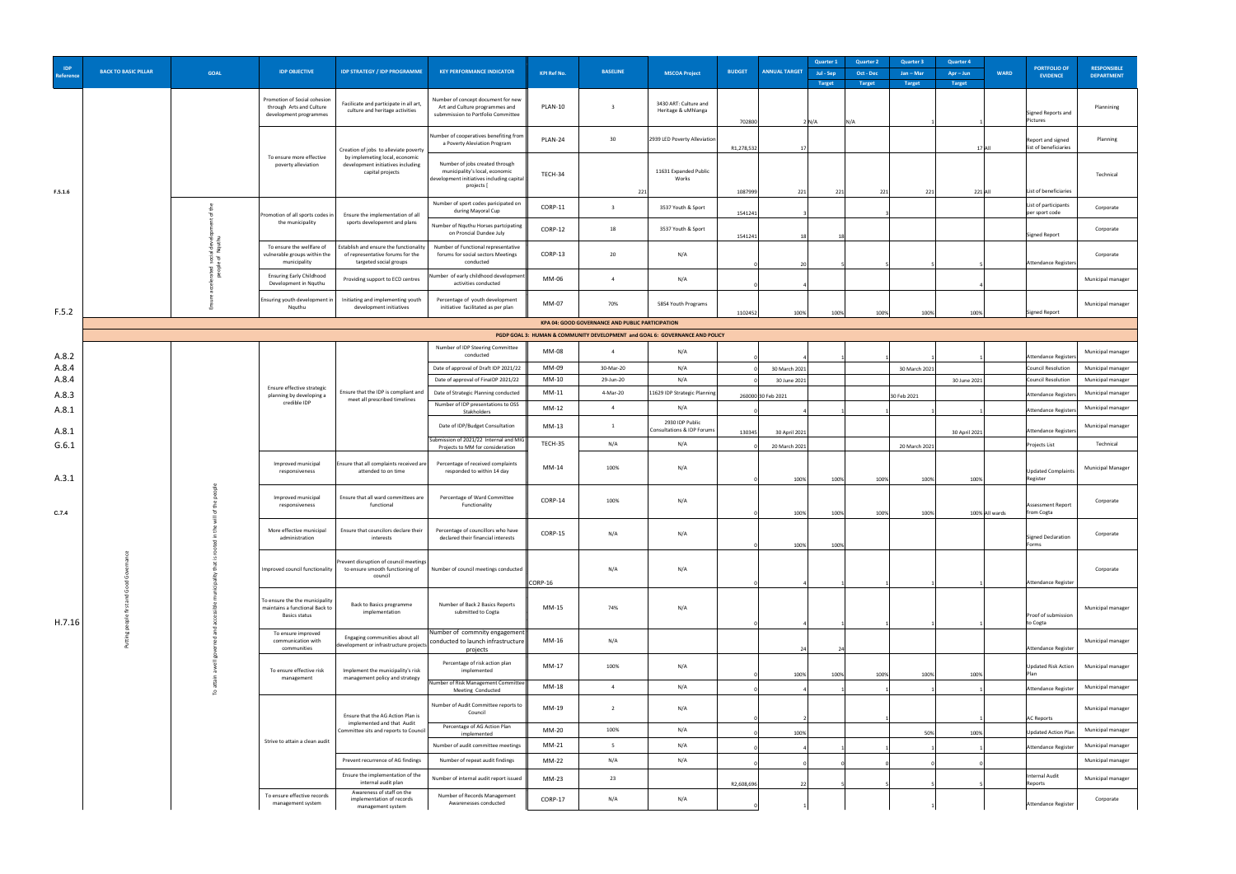| <b>IDP</b><br>Reference | <b>BACK TO BASIC PILLAR</b> | <b>GOAL</b> | <b>IDP OBJECTIVE</b>                                                                     | <b>IDP STRATEGY / IDP PROGRAMME</b>                                                     | <b>KEY PERFORMANCE INDICATOR</b>                                                                                            | <b>KPI Ref No.</b> | <b>BASELINE</b>                                         | <b>MSCOA Project</b>                                                         | <b>BUDGET</b> | <b>ANNUAL TARGET</b>          | <b>Quarter 1</b><br>Jul - Sep | <b>Quarter 2</b><br>Oct - Dec | <b>Quarter 3</b><br>$Jan - Mar$ | <b>Quarter 4</b><br>$Apr - Jun$<br><b>WARD</b> | <b>PORTFOLIO OF</b><br><b>EVIDENCE</b>        | <b>RESPONSIBLE</b><br><b>DEPARTMENT</b> |
|-------------------------|-----------------------------|-------------|------------------------------------------------------------------------------------------|-----------------------------------------------------------------------------------------|-----------------------------------------------------------------------------------------------------------------------------|--------------------|---------------------------------------------------------|------------------------------------------------------------------------------|---------------|-------------------------------|-------------------------------|-------------------------------|---------------------------------|------------------------------------------------|-----------------------------------------------|-----------------------------------------|
|                         |                             |             |                                                                                          |                                                                                         |                                                                                                                             |                    |                                                         |                                                                              |               |                               | <b>Target</b>                 | <b>Target</b>                 | <b>Target</b>                   | <b>Target</b>                                  |                                               |                                         |
|                         |                             |             | Promotion of Social cohesion<br>through Arts and Culture<br>development programmes       | Facilicate and participate in all art,<br>culture and heritage activities               | Number of concept document for new<br>Art and Culture programmes and<br>submmission to Portfolio Committee                  | PLAN-10            |                                                         | 3430 ART: Culture and<br>Heritage & uMhlanga                                 | 702800        |                               | $2\mathsf{N}/\mathsf{A}$      |                               |                                 |                                                | Signed Reports and<br>Pictures                | Plannining                              |
|                         |                             |             |                                                                                          | Creation of jobs to alleviate poverty                                                   | Number of cooperatives benefiting from<br>a Poverty Aleviation Program                                                      | PLAN-24            | 30                                                      | 2939 LED Poverty Alleviation                                                 | R1,278,532    |                               |                               |                               |                                 |                                                | Report and signed<br>list of beneficiaries    | Planning                                |
|                         |                             |             | To ensure more effective<br>poverty alleviation                                          | by implemeting local, economic<br>development initiatives including<br>capital projects | Number of jobs created through<br>municipality's local, economic<br>development initiatives including capital<br>projects [ | TECH-34            |                                                         | 11631 Expanded Public<br>Works                                               |               |                               |                               |                               |                                 |                                                |                                               | Technical                               |
| F.5.1.6                 |                             |             |                                                                                          |                                                                                         | Number of sport codes paricipated on                                                                                        | CORP-11            |                                                         | $22^{\circ}$<br>3537 Youth & Sport                                           | 1087999       | 221                           | 221                           | 221                           | 221                             | $221$ All                                      | List of beneficiaries<br>List of participants | Corporate                               |
|                         |                             |             | Promotion of all sports codes in<br>the municipality                                     | Ensure the implementation of all<br>sports developemnt and plans                        | during Mayoral Cup<br>Number of Nquthu Horses partcipating<br>on Proncial Dundee July                                       | CORP-12            | 18                                                      | 3537 Youth & Sport                                                           | 1541241       |                               |                               |                               |                                 |                                                | per sport code                                | Corporate                               |
|                         |                             |             | To ensure the wellfare of<br>vulnerable groups within the                                | Establish and ensure the functionality<br>of representative forums for the              | Number of Functional representative<br>forums for social sectors Meetings                                                   | CORP-13            | 20                                                      | N/A                                                                          | 1541241       |                               |                               |                               |                                 |                                                | Signed Report                                 | Corporate                               |
|                         |                             |             | municipality<br><b>Ensuring Early Childhood</b><br>Development in Nquthu                 | targeted social groups<br>Providing support to ECD centres                              | conducted<br>Number of early childhood development<br>activities conducted                                                  | MM-06              |                                                         | N/A                                                                          |               |                               |                               |                               |                                 |                                                | Attendance Registers                          | Municipal manager                       |
| F.5.2                   |                             |             | Ensuring youth development in<br>Nquthu                                                  | Initiating and implementing youth<br>development initiatives                            | Percentage of youth development<br>initiative facilitated as per plan                                                       | <b>MM-07</b>       | 70%                                                     | 5854 Youth Programs                                                          | 1102452       | 100%                          | 100%                          | 100%                          | 100%                            | 100%                                           | Signed Report                                 | Municipal manager                       |
|                         |                             |             |                                                                                          |                                                                                         |                                                                                                                             |                    | <b>KPA 04: GOOD GOVERNANCE AND PUBLIC PARTICIPATION</b> |                                                                              |               |                               |                               |                               |                                 |                                                |                                               |                                         |
|                         |                             |             |                                                                                          |                                                                                         | Number of IDP Steering Committee                                                                                            |                    |                                                         | PGDP GOAL 3: HUMAN & COMMUNITY DEVELOPMENT and GOAL 6: GOVERNANCE AND POLICY |               |                               |                               |                               |                                 |                                                |                                               |                                         |
| A.8.2                   |                             |             |                                                                                          |                                                                                         | conducted                                                                                                                   | <b>MM-08</b>       | -4                                                      | N/A                                                                          |               |                               |                               |                               |                                 |                                                | Attendance Registers                          | Municipal manager                       |
| A.8.4<br>A.8.4          |                             |             |                                                                                          |                                                                                         | Date of approval of Draft IDP 2021/22<br>Date of approval of FinaIDP 2021/22                                                | MM-09<br>$MM-10$   | 30-Mar-20<br>29-Jun-20                                  | N/A<br>N/A                                                                   |               | 30 March 2021<br>30 June 2021 |                               |                               | 30 March 2021                   | 30 June 2021                                   | Council Resolution<br>Council Resolution      | Municipal manager<br>Municipal manager  |
| A.8.3                   |                             |             | Ensure effective strategic<br>planning by developing a                                   | Ensure that the IDP is compliant and                                                    | Date of Strategic Planning conducted                                                                                        | $MM-11$            | 4-Mar-20                                                | 11629 IDP Strategic Planning                                                 |               | 260000 30 Feb 2021            |                               |                               | 30 Feb 2021                     |                                                | Attendance Registers                          | Municipal manager                       |
| A.8.1                   |                             |             | credible IDP                                                                             | meet all prescribed timelines                                                           | Number of IDP presentations to OSS<br>Stakholders                                                                           | $MM-12$            |                                                         | N/A                                                                          |               |                               |                               |                               |                                 |                                                | Attendance Registers                          | Municipal manager                       |
|                         |                             |             |                                                                                          |                                                                                         | Date of IDP/Budget Consultation                                                                                             | $MM-13$            |                                                         | 2930 IDP Public                                                              |               |                               |                               |                               |                                 |                                                |                                               | Municipal manager                       |
| A.8.1                   |                             |             |                                                                                          |                                                                                         | Submission of 2021/22 Internal and MIG                                                                                      |                    |                                                         | Consultations & IDP Forums                                                   | 130345        | 30 April 2021                 |                               |                               |                                 | 30 April 2021                                  | Attendance Registers                          |                                         |
| G.6.1                   |                             |             |                                                                                          |                                                                                         | Projects to MM for consideration                                                                                            | TECH-35            | N/A                                                     | N/A                                                                          |               | 20 March 2021                 |                               |                               | 20 March 2021                   |                                                | Projects List                                 | Technical                               |
| A.3.1                   |                             |             | Improved municipal<br>responsiveness                                                     | Ensure that all complaints received are<br>attended to on time                          | Percentage of received complaints<br>responded to within 14 day                                                             | $MM-14$            | 100%                                                    | N/A                                                                          |               | 100%                          | 100%                          | 100%                          | 100%                            | 100%                                           | Updated Complaints<br>Register                | <b>Municipal Manager</b>                |
| C.7.4                   |                             |             | Improved municipal<br>responsiveness                                                     | Ensure that all ward committees are<br>functional                                       | Percentage of Ward Committee<br>Functionality                                                                               | CORP-14            | 100%                                                    | N/A                                                                          |               | 100%                          | 100%                          | 100%                          | 100%                            | 100% All wards                                 | <b>Assessment Report</b><br>from Cogta        | Corporate                               |
|                         |                             |             | More effective municipal<br>administration                                               | Ensure that councilors declare their<br>interests                                       | Percentage of councillors who have<br>declared their financial interests                                                    | CORP-15            | N/A                                                     | N/A                                                                          |               | 100%                          | 100%                          |                               |                                 |                                                | Signed Declaration<br>Forms                   | Corporate                               |
|                         |                             |             | Improved council functionality                                                           | Prevent disruption of council meetings<br>to ensure smooth functioning of<br>council    | Number of council meetings conducted                                                                                        |                    | N/A                                                     | N/A                                                                          |               |                               |                               |                               |                                 |                                                |                                               | Corporate                               |
|                         |                             |             |                                                                                          |                                                                                         |                                                                                                                             | CORP-16            |                                                         |                                                                              |               |                               |                               |                               |                                 |                                                | Attendance Register                           |                                         |
| H.7.16                  |                             |             | To ensure the the municipality<br>maintains a functional Back to<br><b>Basics status</b> | <b>Back to Basics programme</b><br>implementation                                       | Number of Back 2 Basics Reports<br>submitted to Cogta                                                                       | $MM-15$            | 74%                                                     | N/A                                                                          |               |                               |                               |                               |                                 |                                                | Proof of submission<br>to Cogta               | Municipal manager                       |
|                         |                             |             | To ensure improved<br>communication with<br>communities                                  |                                                                                         | Number of commnity engagement  <br>development or infrastructure projects conducted to launch infrastructure<br>projects    | $MM-16$            | N/A                                                     |                                                                              |               |                               |                               |                               |                                 |                                                | Attendance Register                           | Municipal manager                       |
|                         |                             |             | To ensure effective risk<br>management                                                   | Implement the municipality's risk<br>management policy and strategy                     | Percentage of risk action plan<br>implemented                                                                               | $MM-17$            | 100%                                                    | N/A                                                                          |               | 100%                          | 100%                          | 100%                          | 100%                            | 100%                                           | <b>Updated Risk Action</b><br>Plan            | Municipal manager                       |
|                         |                             |             |                                                                                          |                                                                                         | Number of Risk Management Committee<br><b>Meeting Conducted</b>                                                             | MM-18              |                                                         | N/A                                                                          |               |                               |                               |                               |                                 |                                                | Attendance Register                           | Municipal manager                       |
|                         |                             |             |                                                                                          | Ensure that the AG Action Plan is                                                       | Number of Audit Committee reports to<br>Council                                                                             | $MM-19$            |                                                         | N/A                                                                          |               |                               |                               |                               |                                 |                                                | <b>AC Reports</b>                             | Municipal manager                       |
|                         |                             |             |                                                                                          | implemented and that Audit<br>Committee sits and reports to Council                     | Percentage of AG Action Plan<br>implemented                                                                                 | $MM-20$            | 100%                                                    | N/A                                                                          |               | 100%                          |                               |                               | 50%                             | 100%                                           | <b>Updated Action Plan</b>                    | Municipal manager                       |
|                         |                             |             | Strive to attain a clean audit                                                           |                                                                                         | Number of audit committee meetings                                                                                          | $MM-21$            |                                                         | N/A                                                                          |               |                               |                               |                               |                                 |                                                | Attendance Register                           | Municipal manager                       |
|                         |                             |             |                                                                                          | Prevent recurrence of AG findings                                                       | Number of repeat audit findings                                                                                             | $MM-22$            | N/A                                                     | N/A                                                                          |               |                               |                               |                               |                                 |                                                |                                               | Municipal manager                       |
|                         |                             |             |                                                                                          | Ensure the implementation of the<br>internal audit plan                                 | Number of internal audit report issued                                                                                      | $MM-23$            | 23                                                      |                                                                              | R2,608,696    |                               |                               |                               |                                 |                                                | Internal Audit<br>Reports                     | Municipal manager                       |
|                         |                             |             | To ensure effective records<br>management system                                         | Awareness of staff on the<br>implementation of records                                  | Number of Records Management<br>Awarenesses conducted                                                                       | CORP-17            | N/A                                                     | N/A                                                                          |               |                               |                               |                               |                                 |                                                |                                               | Corporate                               |
|                         |                             |             |                                                                                          |                                                                                         |                                                                                                                             |                    |                                                         |                                                                              |               |                               |                               |                               |                                 |                                                | Attendance Register                           |                                         |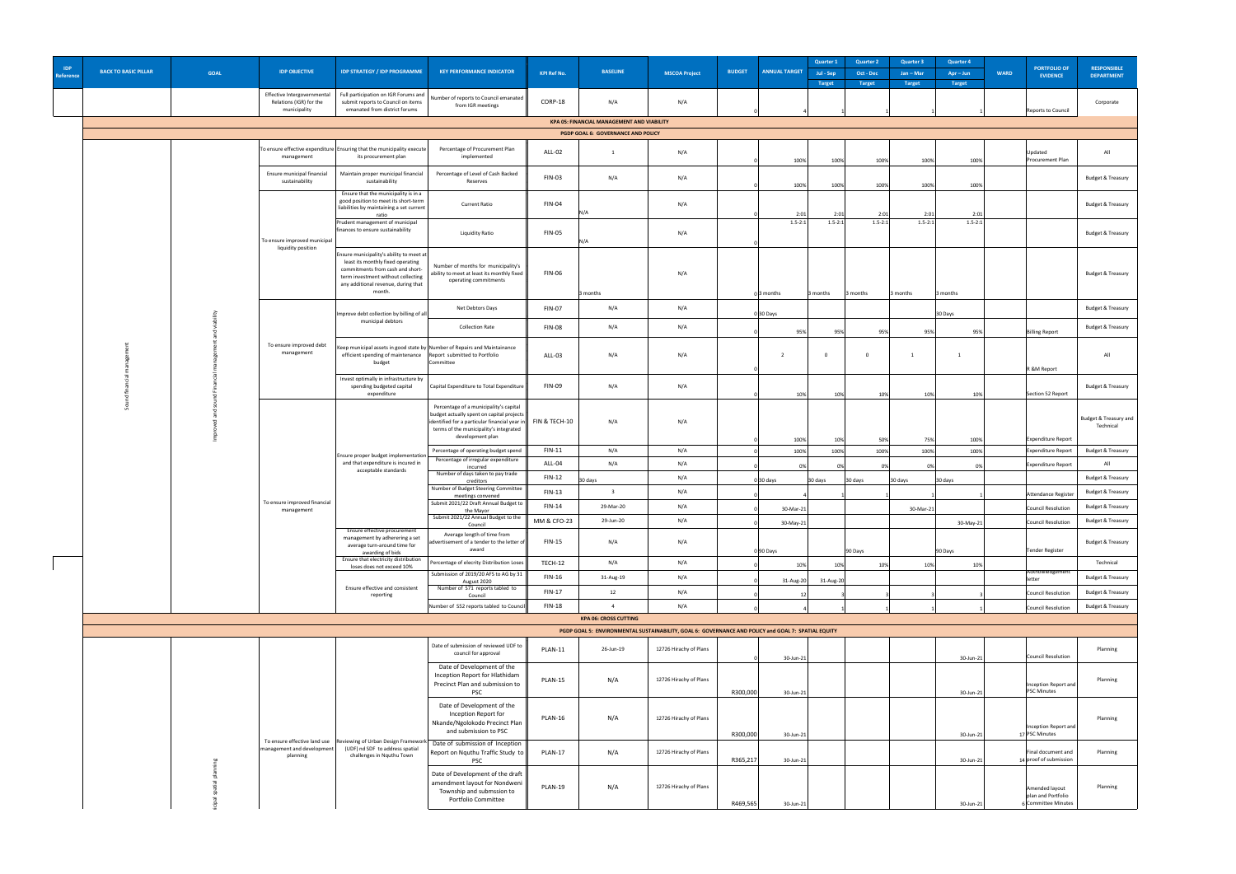| <b>IDP</b><br>Reference | <b>BACK TO BASIC PILLAR</b> | <b>GOAL</b> | <b>IDP OBJECTIVE</b>                                                   | <b>IDP STRATEGY / IDP PROGRAMME</b>                                                                                                                                                                      | <b>KEY PERFORMANCE INDICATOR</b>                                                                                                                                                                                                        | <b>KPI Ref No.</b>       | <b>BASELINE</b>                                                                                | <b>MSCOA Project</b>   | <b>BUDGET</b> | <b>Quarter 1</b><br><b>ANNUAL TARGET</b><br>Jul - Sep<br><b>Target</b>                              | <b>Quarter 2</b><br>Oct - Dec<br><b>Target</b> | <b>Quarter 3</b><br>Jan - Mar<br><b>Target</b> | <b>Quarter 4</b><br>$Apr - Jun$<br><b>Target</b> | <b>WARD</b> | <b>PORTFOLIO OF</b><br><b>EVIDENCE</b>                      | <b>RESPONSIBLE</b><br><b>DEPARTMENT</b>   |
|-------------------------|-----------------------------|-------------|------------------------------------------------------------------------|----------------------------------------------------------------------------------------------------------------------------------------------------------------------------------------------------------|-----------------------------------------------------------------------------------------------------------------------------------------------------------------------------------------------------------------------------------------|--------------------------|------------------------------------------------------------------------------------------------|------------------------|---------------|-----------------------------------------------------------------------------------------------------|------------------------------------------------|------------------------------------------------|--------------------------------------------------|-------------|-------------------------------------------------------------|-------------------------------------------|
|                         |                             |             | Effective Intergovernmental<br>Relations (IGR) for the<br>municipality | Full participation on IGR Forums and<br>submit reports to Council on items<br>emanated from district forums                                                                                              | Number of reports to Council emanated   <br>from IGR meetings                                                                                                                                                                           | CORP-18                  | N/A                                                                                            | N/A                    |               |                                                                                                     |                                                |                                                |                                                  |             | Reports to Council                                          | Corporate                                 |
|                         |                             |             |                                                                        |                                                                                                                                                                                                          |                                                                                                                                                                                                                                         |                          | <b>KPA 05: FINANCIAL MANAGEMENT AND VIABILITY</b><br><b>PGDP GOAL 6: GOVERNANCE AND POLICY</b> |                        |               |                                                                                                     |                                                |                                                |                                                  |             |                                                             |                                           |
|                         |                             |             | management                                                             | To ensure effective expenditure   Ensuring that the municipality execute<br>its procurement plan                                                                                                         | Percentage of Procurement Plan<br>implemented                                                                                                                                                                                           | <b>ALL-02</b>            |                                                                                                | N/A                    |               | 100%<br>100%                                                                                        | 100%                                           | 100%                                           | 100%                                             |             | Updated<br><b>Procurement Plan</b>                          | All                                       |
|                         |                             |             | Ensure municipal financial<br>sustainability                           | Maintain proper municipal financial<br>sustainability                                                                                                                                                    | Percentage of Level of Cash Backed<br>Reserves                                                                                                                                                                                          | <b>FIN-03</b>            | N/A                                                                                            | N/A                    |               | 100%<br>100%                                                                                        | 100%                                           | 100%                                           | 100%                                             |             |                                                             | Budget & Treasury                         |
|                         |                             |             |                                                                        | Ensure that the municipality is in a<br>good position to meet its short-term<br>liabilities by maintaining a set current<br>ratio                                                                        | <b>Current Ratio</b>                                                                                                                                                                                                                    | <b>FIN-04</b>            |                                                                                                | N/A                    |               | 2:01<br>2:01                                                                                        | 2:01                                           | 2:01                                           | 2:01                                             |             |                                                             | <b>Budget &amp; Treasury</b>              |
|                         |                             |             | To ensure improved municipal                                           | Prudent management of municipal<br>finances to ensure sustainability                                                                                                                                     | <b>Liquidity Ratio</b>                                                                                                                                                                                                                  | <b>FIN-05</b>            |                                                                                                | N/A                    |               | $1.5 - 2:1$<br>$1.5 - 2:1$                                                                          | $1.5 - 2:1$                                    | $1.5 - 2:1$                                    | $1.5 - 2:1$                                      |             |                                                             | <b>Budget &amp; Treasury</b>              |
|                         |                             |             | liquidity position                                                     | Ensure municipality's ability to meet at<br>least its monthly fixed operating<br>commitments from cash and short-<br>term investment without collecting<br>any additional revenue, during that<br>month. | Number of months for municipality's $\ \cdot\ $<br>ability to meet at least its monthly fixed $\vert$<br>operating commitments                                                                                                          | <b>FIN-06</b>            | 3 months                                                                                       | N/A                    |               | 3 months<br>$0$ 3 months                                                                            | 3 months                                       | 3 months                                       | 3 months                                         |             |                                                             | <b>Budget &amp; Treasury</b>              |
|                         |                             |             |                                                                        | Improve debt collection by billing of all                                                                                                                                                                | Net Debtors Days                                                                                                                                                                                                                        | <b>FIN-07</b>            | N/A                                                                                            | N/A                    |               | $0 30$ Days                                                                                         |                                                |                                                | 30 Days                                          |             |                                                             | <b>Budget &amp; Treasury</b>              |
|                         |                             |             |                                                                        | municipal debtors                                                                                                                                                                                        | <b>Collection Rate</b>                                                                                                                                                                                                                  | <b>FIN-08</b>            | N/A                                                                                            | N/A                    |               | 95%<br>95%                                                                                          | 95%                                            | 95%                                            | 95%                                              |             | <b>Billing Report</b>                                       | <b>Budget &amp; Treasury</b>              |
|                         |                             |             | To ensure improved debt<br>management                                  | efficient spending of maintenance   Report submitted to Portfolio<br>budget                                                                                                                              | Keep municipal assets in good state by Number of Repairs and Maintainance<br>Committee                                                                                                                                                  | <b>ALL-03</b>            | N/A                                                                                            | N/A                    |               |                                                                                                     |                                                |                                                |                                                  |             | R &M Report                                                 | All                                       |
|                         |                             |             |                                                                        | Invest optimally in infrastructure by<br>spending budgeted capital<br>expenditure                                                                                                                        | Capital Expenditure to Total Expenditure                                                                                                                                                                                                | <b>FIN-09</b>            | N/A                                                                                            | N/A                    |               | 109<br>10 <sub>2</sub>                                                                              | 10%                                            |                                                | 10%                                              |             | Section 52 Report                                           | <b>Budget &amp; Treasury</b>              |
|                         |                             |             |                                                                        |                                                                                                                                                                                                          | Percentage of a municipality's capital<br>budget actually spent on capital projects  <br>$\vert$ identified for a particular financial year in $\vert\vert$ FIN & TECH-10<br>terms of the municipality's integrated<br>development plan |                          | N/A                                                                                            | N/A                    |               | 100%<br>10%                                                                                         | 50%                                            | 75%                                            | 100%                                             |             | Expenditure Report                                          | Budget & Treasury and<br>Technical        |
|                         |                             |             |                                                                        | Ensure proper budget implementation                                                                                                                                                                      | Percentage of operating budget spend                                                                                                                                                                                                    | <b>FIN-11</b>            | N/A                                                                                            | N/A                    |               | 100%<br>100%                                                                                        | 100%                                           | 100%                                           | 100%                                             |             | Expenditure Report                                          | <b>Budget &amp; Treasury</b>              |
|                         |                             |             |                                                                        | and that expenditure is incured in<br>acceptable standards                                                                                                                                               | Percentage of irregular expenditure<br>incurred                                                                                                                                                                                         | ALL-04                   | N/A                                                                                            | N/A                    |               | n%                                                                                                  |                                                |                                                |                                                  |             | Expenditure Report                                          | All                                       |
|                         |                             |             |                                                                        |                                                                                                                                                                                                          | Number of days taken to pay trade<br>creditors<br>Number of Budget Steering Committee                                                                                                                                                   | $FIN-12$                 | 30 days                                                                                        | N/A                    |               | 0 30 days<br>30 days                                                                                | 30 days                                        | 30 days                                        | 30 days                                          |             |                                                             | <b>Budget &amp; Treasury</b>              |
|                         |                             |             | To ensure improved financial                                           |                                                                                                                                                                                                          | meetings convened<br>Submit 2021/22 Draft Annual Budget to                                                                                                                                                                              | $FIN-13$                 |                                                                                                | N/A                    |               |                                                                                                     |                                                |                                                |                                                  |             | Attendance Register                                         | <b>Budget &amp; Treasury</b>              |
|                         |                             |             | management                                                             |                                                                                                                                                                                                          | the Mayor<br>Submit 2021/22 Annual Budget to the                                                                                                                                                                                        | <b>FIN-14</b>            | 29-Mar-20                                                                                      | N/A                    |               | 30-Mar-21                                                                                           |                                                | 30-Mar-21                                      |                                                  |             | Council Resolution                                          | <b>Budget &amp; Treasury</b>              |
|                         |                             |             |                                                                        | Ensure effective procurement                                                                                                                                                                             | Council<br>Average length of time from                                                                                                                                                                                                  | <b>MM &amp; CFO-23</b>   | 29-Jun-20                                                                                      | N/A                    |               | 30-May-21                                                                                           |                                                |                                                | $30$ -May-21                                     |             | Council Resolution                                          | <b>Budget &amp; Treasury</b>              |
|                         |                             |             |                                                                        | management by adherering a set<br>average turn-around time for<br>awarding of bids<br>Ensure that electricity distribution                                                                               | advertisement of a tender to the letter of<br>award                                                                                                                                                                                     | <b>FIN-15</b><br>TECH-12 | N/A<br>N/A                                                                                     | N/A<br>N/A             |               | 0 90 Days                                                                                           | 90 Days                                        |                                                | 90 Days                                          |             | Tender Register                                             | <b>Budget &amp; Treasury</b><br>Technical |
|                         |                             |             |                                                                        | loses does not exceed 10%                                                                                                                                                                                | Percentage of elecrity Distribution Loses  <br>Submission of 2019/20 AFS to AG by 31                                                                                                                                                    | <b>FIN-16</b>            | 31-Aug-19                                                                                      | N/A                    |               | 10%<br>109                                                                                          | 10%                                            | 10%                                            | 10%                                              |             | Acknowledgement                                             | Budget & Treasury                         |
|                         |                             |             |                                                                        | Ensure effective and consistent                                                                                                                                                                          | August 2020<br>Number of S71 reports tabled to                                                                                                                                                                                          | $FIN-17$                 | 12                                                                                             | N/A                    |               | $31$ -Aug-20<br>31-Aug-20                                                                           |                                                |                                                |                                                  |             | letter<br>Council Resolution                                | <b>Budget &amp; Treasury</b>              |
|                         |                             |             |                                                                        | reporting                                                                                                                                                                                                | Council<br>Number of S52 reports tabled to Council                                                                                                                                                                                      | <b>FIN-18</b>            |                                                                                                | N/A                    |               |                                                                                                     |                                                |                                                |                                                  |             | Council Resolution                                          | <b>Budget &amp; Treasury</b>              |
|                         |                             |             |                                                                        |                                                                                                                                                                                                          |                                                                                                                                                                                                                                         |                          | <b>KPA 06: CROSS CUTTING</b>                                                                   |                        |               |                                                                                                     |                                                |                                                |                                                  |             |                                                             |                                           |
|                         |                             |             |                                                                        |                                                                                                                                                                                                          |                                                                                                                                                                                                                                         |                          |                                                                                                |                        |               | PGDP GOAL 5: ENVIRONMENTAL SUSTAINABILITY, GOAL 6: GOVERNANCE AND POLICY and GOAL 7: SPATIAL EQUITY |                                                |                                                |                                                  |             |                                                             |                                           |
|                         |                             |             |                                                                        |                                                                                                                                                                                                          | Date of submission of reviewed UDF to  <br>council for approval<br>Date of Development of the                                                                                                                                           | PLAN-11                  | 26-Jun-19                                                                                      | 12726 Hirachy of Plans |               | 30-Jun-21                                                                                           |                                                |                                                | $30$ -Jun-21                                     |             | Council Resolution                                          | Planning                                  |
|                         |                             |             |                                                                        |                                                                                                                                                                                                          | Inception Report for Hlathidam<br>Precinct Plan and submission to<br><b>PSC</b>                                                                                                                                                         | PLAN-15                  | N/A                                                                                            | 12726 Hirachy of Plans | R300,000      | $30$ -Jun-21                                                                                        |                                                |                                                | $30$ -Jun-21                                     |             | Inception Report and<br><b>PSC Minutes</b>                  | Planning                                  |
|                         |                             |             |                                                                        |                                                                                                                                                                                                          | Date of Development of the<br>Inception Report for<br>Nkande/Ngolokodo Precinct Plan<br>and submission to PSC<br>To ensure effective land use  Reviewing of Urban Design Framework   Date of submission of Inception                    | PLAN-16                  | N/A                                                                                            | 12726 Hirachy of Plans | R300,000      | 30-Jun-21                                                                                           |                                                |                                                | $30$ -Jun-21                                     |             | Inception Report and<br>17 PSC Minutes                      | Planning                                  |
|                         |                             |             | management and development<br>planning                                 | (UDF) nd SDF to address spatial<br>challenges in Nquthu Town                                                                                                                                             | Report on Nquthu Traffic Study to   <br><b>PSC</b>                                                                                                                                                                                      | PLAN-17                  | N/A                                                                                            | 12726 Hirachy of Plans | R365,217      | 30-Jun-21                                                                                           |                                                |                                                | $30$ -Jun-21                                     |             | Final document and<br>$14$ proof of submission              | Planning                                  |
|                         |                             |             |                                                                        |                                                                                                                                                                                                          | Date of Development of the draft   <br>amendment layout for Nondweni<br>Township and submssion to<br><b>Portfolio Committee</b>                                                                                                         | PLAN-19                  | N/A                                                                                            | 12726 Hirachy of Plans | R469,565      | 30-Jun-21                                                                                           |                                                |                                                | $30$ -Jun-21                                     |             | Amended layout<br>plan and Portfolio<br>6 Committee Minutes | Planning                                  |
|                         |                             |             |                                                                        |                                                                                                                                                                                                          |                                                                                                                                                                                                                                         |                          |                                                                                                |                        |               |                                                                                                     |                                                |                                                |                                                  |             |                                                             |                                           |